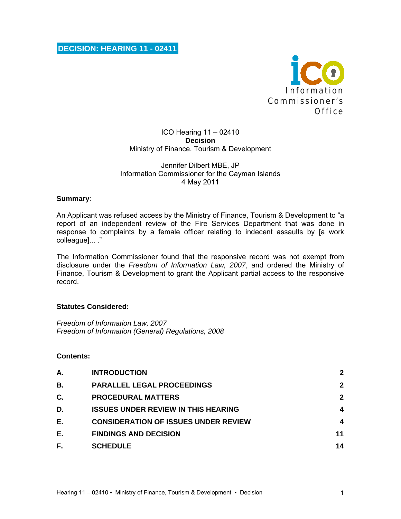

#### ICO Hearing 11 – 02410 **Decision**  Ministry of Finance, Tourism & Development

## Jennifer Dilbert MBE, JP Information Commissioner for the Cayman Islands 4 May 2011

# **Summary**:

An Applicant was refused access by the Ministry of Finance, Tourism & Development to "a report of an independent review of the Fire Services Department that was done in response to complaints by a female officer relating to indecent assaults by [a work colleague]... ."

The Information Commissioner found that the responsive record was not exempt from disclosure under the *Freedom of Information Law, 2007*, and ordered the Ministry of Finance, Tourism & Development to grant the Applicant partial access to the responsive record.

#### **Statutes Considered:**

*Freedom of Information Law, 2007 Freedom of Information (General) Regulations, 2008* 

# **Contents:**

| Α.        | <b>INTRODUCTION</b>                         | $\mathbf{2}$ |
|-----------|---------------------------------------------|--------------|
| <b>B.</b> | <b>PARALLEL LEGAL PROCEEDINGS</b>           | $\mathbf{2}$ |
| C.        | <b>PROCEDURAL MATTERS</b>                   | $\mathbf{2}$ |
| D.        | <b>ISSUES UNDER REVIEW IN THIS HEARING</b>  | 4            |
| Е.        | <b>CONSIDERATION OF ISSUES UNDER REVIEW</b> | 4            |
| Е.        | <b>FINDINGS AND DECISION</b>                | 11           |
| F.        | <b>SCHEDULE</b>                             | 14           |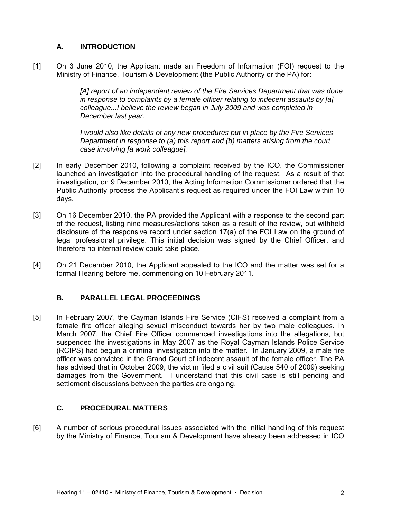# **A. INTRODUCTION**

[1] On 3 June 2010, the Applicant made an Freedom of Information (FOI) request to the Ministry of Finance, Tourism & Development (the Public Authority or the PA) for:

> [A] report of an independent review of the Fire Services Department that was done *in response to complaints by a female officer relating to indecent assaults by [a] colleague...I believe the review began in July 2009 and was completed in December last year.*

*I would also like details of any new procedures put in place by the Fire Services Department in response to (a) this report and (b) matters arising from the court case involving [a work colleague].* 

- [2] In early December 2010, following a complaint received by the ICO, the Commissioner launched an investigation into the procedural handling of the request. As a result of that investigation, on 9 December 2010, the Acting Information Commissioner ordered that the Public Authority process the Applicant's request as required under the FOI Law within 10 days.
- [3] On 16 December 2010, the PA provided the Applicant with a response to the second part of the request, listing nine measures/actions taken as a result of the review, but withheld disclosure of the responsive record under section 17(a) of the FOI Law on the ground of legal professional privilege. This initial decision was signed by the Chief Officer, and therefore no internal review could take place.
- [4] On 21 December 2010, the Applicant appealed to the ICO and the matter was set for a formal Hearing before me, commencing on 10 February 2011.

# **B. PARALLEL LEGAL PROCEEDINGS**

[5] In February 2007, the Cayman Islands Fire Service (CIFS) received a complaint from a female fire officer alleging sexual misconduct towards her by two male colleagues. In March 2007, the Chief Fire Officer commenced investigations into the allegations, but suspended the investigations in May 2007 as the Royal Cayman Islands Police Service (RCIPS) had begun a criminal investigation into the matter. In January 2009, a male fire officer was convicted in the Grand Court of indecent assault of the female officer. The PA has advised that in October 2009, the victim filed a civil suit (Cause 540 of 2009) seeking damages from the Government. I understand that this civil case is still pending and settlement discussions between the parties are ongoing.

#### **C. PROCEDURAL MATTERS**

[6] A number of serious procedural issues associated with the initial handling of this request by the Ministry of Finance, Tourism & Development have already been addressed in ICO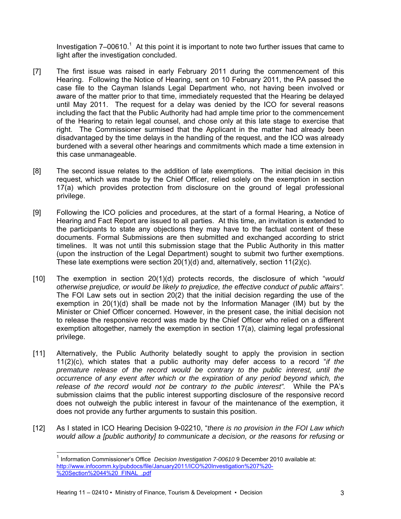Investigation  $7-00610$ .<sup>1</sup> At this point it is important to note two further issues that came to light after the investigation concluded.

- [7] The first issue was raised in early February 2011 during the commencement of this Hearing. Following the Notice of Hearing, sent on 10 February 2011, the PA passed the case file to the Cayman Islands Legal Department who, not having been involved or aware of the matter prior to that time, immediately requested that the Hearing be delayed until May 2011. The request for a delay was denied by the ICO for several reasons including the fact that the Public Authority had had ample time prior to the commencement of the Hearing to retain legal counsel, and chose only at this late stage to exercise that right. The Commissioner surmised that the Applicant in the matter had already been disadvantaged by the time delays in the handling of the request, and the ICO was already burdened with a several other hearings and commitments which made a time extension in this case unmanageable.
- [8] The second issue relates to the addition of late exemptions. The initial decision in this request, which was made by the Chief Officer, relied solely on the exemption in section 17(a) which provides protection from disclosure on the ground of legal professional privilege.
- [9] Following the ICO policies and procedures, at the start of a formal Hearing, a Notice of Hearing and Fact Report are issued to all parties. At this time, an invitation is extended to the participants to state any objections they may have to the factual content of these documents. Formal Submissions are then submitted and exchanged according to strict timelines. It was not until this submission stage that the Public Authority in this matter (upon the instruction of the Legal Department) sought to submit two further exemptions. These late exemptions were section  $20(1)(d)$  and, alternatively, section  $11(2)(c)$ .
- [10] The exemption in section 20(1)(d) protects records, the disclosure of which "*would otherwise prejudice, or would be likely to prejudice, the effective conduct of public affairs".* The FOI Law sets out in section 20(2) that the initial decision regarding the use of the exemption in 20(1)(d) shall be made not by the Information Manager (IM) but by the Minister or Chief Officer concerned. However, in the present case, the initial decision not to release the responsive record was made by the Chief Officer who relied on a different exemption altogether, namely the exemption in section 17(a), claiming legal professional privilege.
- [11] Alternatively, the Public Authority belatedly sought to apply the provision in section 11(2)(c), which states that a public authority may defer access to a record "*if the premature release of the record would be contrary to the public interest, until the occurrence of any event after which or the expiration of any period beyond which, the release of the record would not be contrary to the public interest".* While the PA's submission claims that the public interest supporting disclosure of the responsive record does not outweigh the public interest in favour of the maintenance of the exemption, it does not provide any further arguments to sustain this position.
- [12] As I stated in ICO Hearing Decision 9-02210, "*there is no provision in the FOI Law which would allow a [public authority] to communicate a decision, or the reasons for refusing or*

l

<sup>1</sup> Information Commissioner's Office *Decision Investigation 7-00610* 9 December 2010 available at: http://www.infocomm.ky/pubdocs/file/January2011/ICO%20Investigation%207%20- %20Section%2044%20\_FINAL\_.pdf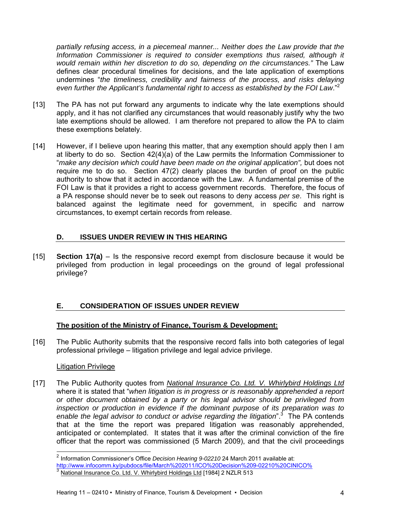*partially refusing access, in a piecemeal manner... Neither does the Law provide that the Information Commissioner is required to consider exemptions thus raised, although it would remain within her discretion to do so, depending on the circumstances."* The Law defines clear procedural timelines for decisions, and the late application of exemptions undermines "*the timeliness, credibility and fairness of the process, and risks delaying even further the Applicant's fundamental right to access as established by the FOI Law*."<sup>2</sup>

- [13] The PA has not put forward any arguments to indicate why the late exemptions should apply, and it has not clarified any circumstances that would reasonably justify why the two late exemptions should be allowed. I am therefore not prepared to allow the PA to claim these exemptions belately.
- [14] However, if I believe upon hearing this matter, that any exemption should apply then I am at liberty to do so. Section 42(4)(a) of the Law permits the Information Commissioner to "*make any decision which could have been made on the original application",* but does not require me to do so. Section 47(2) clearly places the burden of proof on the public authority to show that it acted in accordance with the Law. A fundamental premise of the FOI Law is that it provides a right to access government records. Therefore, the focus of a PA response should never be to seek out reasons to deny access *per se*. This right is balanced against the legitimate need for government, in specific and narrow circumstances, to exempt certain records from release.

# **D. ISSUES UNDER REVIEW IN THIS HEARING**

[15] **Section 17(a)** – Is the responsive record exempt from disclosure because it would be privileged from production in legal proceedings on the ground of legal professional privilege?

# **E. CONSIDERATION OF ISSUES UNDER REVIEW**

# **The position of the Ministry of Finance, Tourism & Development:**

[16] The Public Authority submits that the responsive record falls into both categories of legal professional privilege – litigation privilege and legal advice privilege.

# Litigation Privilege

[17] The Public Authority quotes from *National Insurance Co. Ltd. V. Whirlybird Holdings Ltd* where it is stated that "*when litigation is in progress or is reasonably apprehended a report or other document obtained by a party or his legal advisor should be privileged from inspection or production in evidence if the dominant purpose of its preparation was to*  enable the legal advisor to conduct or advise regarding the litigation<sup>" 3</sup> The PA contends that at the time the report was prepared litigation was reasonably apprehended, anticipated or contemplated. It states that it was after the criminal conviction of the fire officer that the report was commissioned (5 March 2009), and that the civil proceedings

l <sup>2</sup> Information Commissioner's Office *Decision Hearing 9-02210* 24 March 2011 available at:

http://www.infocomm.ky/pubdocs/file/March%202011/ICO%20Decision%209-02210%20CINICO% 3<br>3 National Insurance Co. Ltd. V. Whirlybird Holdings Ltd [1984] 2 NZLR 513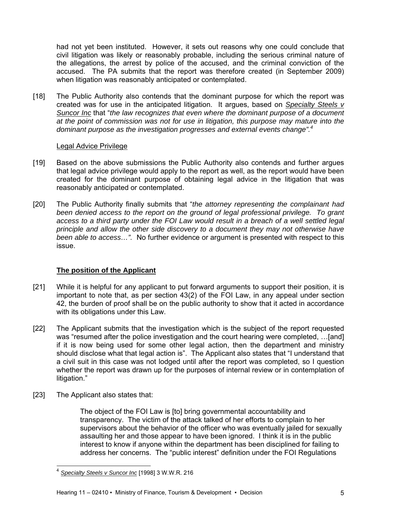had not yet been instituted. However, it sets out reasons why one could conclude that civil litigation was likely or reasonably probable, including the serious criminal nature of the allegations, the arrest by police of the accused, and the criminal conviction of the accused. The PA submits that the report was therefore created (in September 2009) when litigation was reasonably anticipated or contemplated.

[18] The Public Authority also contends that the dominant purpose for which the report was created was for use in the anticipated litigation. It argues, based on *Specialty Steels v Suncor Inc* that "*the law recognizes that even where the dominant purpose of a document at the point of commission was not for use in litigation, this purpose may mature into the dominant purpose as the investigation progresses and external events change".<sup>4</sup>*

## Legal Advice Privilege

- [19] Based on the above submissions the Public Authority also contends and further argues that legal advice privilege would apply to the report as well, as the report would have been created for the dominant purpose of obtaining legal advice in the litigation that was reasonably anticipated or contemplated.
- [20] The Public Authority finally submits that "*the attorney representing the complainant had been denied access to the report on the ground of legal professional privilege. To grant access to a third party under the FOI Law would result in a breach of a well settled legal principle and allow the other side discovery to a document they may not otherwise have been able to access…".* No further evidence or argument is presented with respect to this issue.

# **The position of the Applicant**

- [21] While it is helpful for any applicant to put forward arguments to support their position, it is important to note that, as per section 43(2) of the FOI Law, in any appeal under section 42, the burden of proof shall be on the public authority to show that it acted in accordance with its obligations under this Law.
- [22] The Applicant submits that the investigation which is the subject of the report requested was "resumed after the police investigation and the court hearing were completed, …[and] if it is now being used for some other legal action, then the department and ministry should disclose what that legal action is". The Applicant also states that "I understand that a civil suit in this case was not lodged until after the report was completed, so I question whether the report was drawn up for the purposes of internal review or in contemplation of litigation."
- [23] The Applicant also states that:

l

The object of the FOI Law is [to] bring governmental accountability and transparency. The victim of the attack talked of her efforts to complain to her supervisors about the behavior of the officer who was eventually jailed for sexually assaulting her and those appear to have been ignored. I think it is in the public interest to know if anyone within the department has been disciplined for failing to address her concerns. The "public interest" definition under the FOI Regulations

<sup>4</sup> *Specialty Steels v Suncor Inc* [1998] 3 W.W.R. 216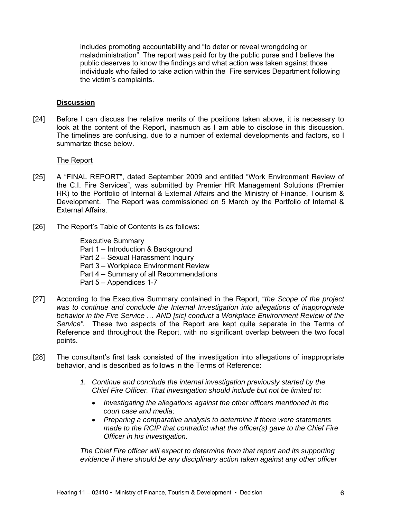includes promoting accountability and "to deter or reveal wrongdoing or maladministration". The report was paid for by the public purse and I believe the public deserves to know the findings and what action was taken against those individuals who failed to take action within the Fire services Department following the victim's complaints.

#### **Discussion**

[24] Before I can discuss the relative merits of the positions taken above, it is necessary to look at the content of the Report, inasmuch as I am able to disclose in this discussion. The timelines are confusing, due to a number of external developments and factors, so I summarize these below.

#### The Report

- [25] A "FINAL REPORT", dated September 2009 and entitled "Work Environment Review of the C.I. Fire Services", was submitted by Premier HR Management Solutions (Premier HR) to the Portfolio of Internal & External Affairs and the Ministry of Finance, Tourism & Development. The Report was commissioned on 5 March by the Portfolio of Internal & External Affairs.
- [26] The Report's Table of Contents is as follows:

Executive Summary Part 1 – Introduction & Background Part 2 – Sexual Harassment Inquiry Part 3 – Workplace Environment Review Part 4 – Summary of all Recommendations Part 5 – Appendices 1-7

- [27] According to the Executive Summary contained in the Report, "*the Scope of the project was to continue and conclude the Internal Investigation into allegations of inappropriate behavior in the Fire Service … AND [sic] conduct a Workplace Environment Review of the Service".* These two aspects of the Report are kept quite separate in the Terms of Reference and throughout the Report, with no significant overlap between the two focal points.
- [28] The consultant's first task consisted of the investigation into allegations of inappropriate behavior, and is described as follows in the Terms of Reference:
	- *1. Continue and conclude the internal investigation previously started by the Chief Fire Officer. That investigation should include but not be limited to:* 
		- *Investigating the allegations against the other officers mentioned in the court case and media;*
		- *Preparing a comparative analysis to determine if there were statements made to the RCIP that contradict what the officer(s) gave to the Chief Fire Officer in his investigation.*

*The Chief Fire officer will expect to determine from that report and its supporting evidence if there should be any disciplinary action taken against any other officer*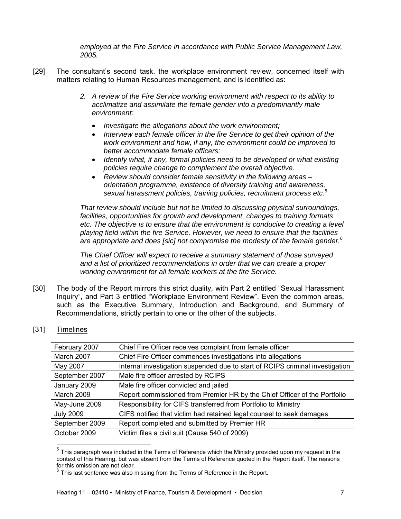*employed at the Fire Service in accordance with Public Service Management Law, 2005.* 

- [29] The consultant's second task, the workplace environment review, concerned itself with matters relating to Human Resources management, and is identified as:
	- *2. A review of the Fire Service working environment with respect to its ability to acclimatize and assimilate the female gender into a predominantly male environment:* 
		- *Investigate the allegations about the work environment;*
		- *Interview each female officer in the fire Service to get their opinion of the work environment and how, if any, the environment could be improved to better accommodate female officers;*
		- *Identify what, if any, formal policies need to be developed or what existing policies require change to complement the overall objective.*
		- *Review should consider female sensitivity in the following areas orientation programme, existence of diversity training and awareness, sexual harassment policies, training policies, recruitment process etc.5*

*That review should include but not be limited to discussing physical surroundings, facilities, opportunities for growth and development, changes to training formats etc. The objective is to ensure that the environment is conducive to creating a level playing field within the fire Service. However, we need to ensure that the facilities*  are appropriate and does [sic] not compromise the modesty of the female gender.<sup>6</sup>

*The Chief Officer will expect to receive a summary statement of those surveyed and a list of prioritized recommendations in order that we can create a proper working environment for all female workers at the fire Service.* 

- [30] The body of the Report mirrors this strict duality, with Part 2 entitled "Sexual Harassment Inquiry", and Part 3 entitled "Workplace Environment Review". Even the common areas, such as the Executive Summary, Introduction and Background, and Summary of Recommendations, strictly pertain to one or the other of the subjects.
- [31] Timelines

l

| Chief Fire Officer receives complaint from female officer                     |
|-------------------------------------------------------------------------------|
| Chief Fire Officer commences investigations into allegations                  |
| Internal investigation suspended due to start of RCIPS criminal investigation |
| Male fire officer arrested by RCIPS                                           |
| Male fire officer convicted and jailed                                        |
| Report commissioned from Premier HR by the Chief Officer of the Portfolio     |
| Responsibility for CIFS transferred from Portfolio to Ministry                |
| CIFS notified that victim had retained legal counsel to seek damages          |
| Report completed and submitted by Premier HR                                  |
| Victim files a civil suit (Cause 540 of 2009)                                 |
|                                                                               |

 $<sup>5</sup>$  This paragraph was included in the Terms of Reference which the Ministry provided upon my request in the</sup> context of this Hearing, but was absent from the Terms of Reference quoted in the Report itself. The reasons for this omission are not clear.

This last sentence was also missing from the Terms of Reference in the Report.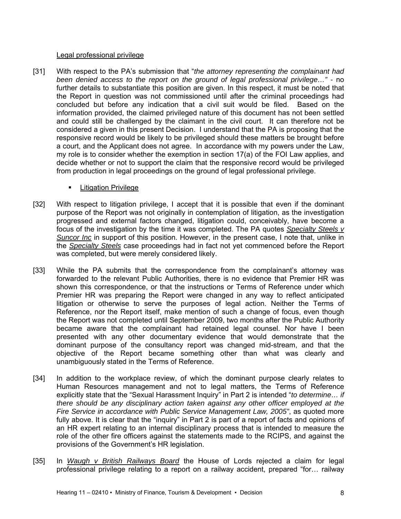#### Legal professional privilege

- [31] With respect to the PA's submission that "*the attorney representing the complainant had been denied access to the report on the ground of legal professional privilege...*" - no further details to substantiate this position are given. In this respect, it must be noted that the Report in question was not commissioned until after the criminal proceedings had concluded but before any indication that a civil suit would be filed. Based on the information provided, the claimed privileged nature of this document has not been settled and could still be challenged by the claimant in the civil court. It can therefore not be considered a given in this present Decision. I understand that the PA is proposing that the responsive record would be likely to be privileged should these matters be brought before a court, and the Applicant does not agree. In accordance with my powers under the Law, my role is to consider whether the exemption in section 17(a) of the FOI Law applies, and decide whether or not to support the claim that the responsive record would be privileged from production in legal proceedings on the ground of legal professional privilege.
	- **E** Litigation Privilege
- [32] With respect to litigation privilege, I accept that it is possible that even if the dominant purpose of the Report was not originally in contemplation of litigation, as the investigation progressed and external factors changed, litigation could, conceivably, have become a focus of the investigation by the time it was completed. The PA quotes *Specialty Steels v Suncor Inc* in support of this position. However, in the present case, I note that, unlike in the *Specialty Steels* case proceedings had in fact not yet commenced before the Report was completed, but were merely considered likely.
- [33] While the PA submits that the correspondence from the complainant's attorney was forwarded to the relevant Public Authorities, there is no evidence that Premier HR was shown this correspondence, or that the instructions or Terms of Reference under which Premier HR was preparing the Report were changed in any way to reflect anticipated litigation or otherwise to serve the purposes of legal action. Neither the Terms of Reference, nor the Report itself, make mention of such a change of focus, even though the Report was not completed until September 2009, two months after the Public Authority became aware that the complainant had retained legal counsel. Nor have I been presented with any other documentary evidence that would demonstrate that the dominant purpose of the consultancy report was changed mid-stream, and that the objective of the Report became something other than what was clearly and unambiguously stated in the Terms of Reference.
- [34] In addition to the workplace review, of which the dominant purpose clearly relates to Human Resources management and not to legal matters, the Terms of Reference explicitly state that the "Sexual Harassment Inquiry" in Part 2 is intended "*to determine… if there should be any disciplinary action taken against any other officer employed at the Fire Service in accordance with Public Service Management Law, 2005"*, as quoted more fully above. It is clear that the "inquiry" in Part 2 is part of a report of facts and opinions of an HR expert relating to an internal disciplinary process that is intended to measure the role of the other fire officers against the statements made to the RCIPS, and against the provisions of the Government's HR legislation.
- [35] In *Waugh v British Railways Board* the House of Lords rejected a claim for legal professional privilege relating to a report on a railway accident, prepared "for… railway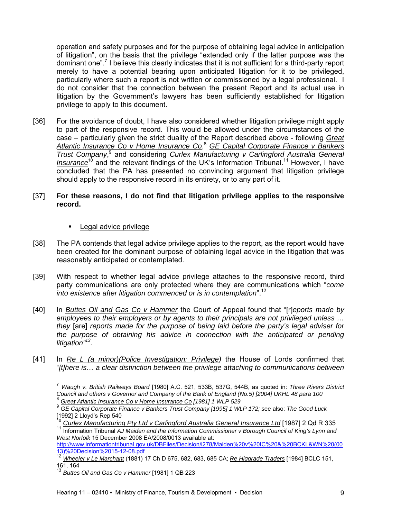operation and safety purposes and for the purpose of obtaining legal advice in anticipation of litigation", on the basis that the privilege "extended only if the latter purpose was the dominant one".<sup>7</sup> I believe this clearly indicates that it is not sufficient for a third-party report merely to have a potential bearing upon anticipated litigation for it to be privileged, particularly where such a report is not written or commissioned by a legal professional. I do not consider that the connection between the present Report and its actual use in litigation by the Government's lawyers has been sufficiently established for litigation privilege to apply to this document.

[36] For the avoidance of doubt, I have also considered whether litigation privilege might apply to part of the responsive record. This would be allowed under the circumstances of the case – particularly given the strict duality of the Report described above - following *Great Atlantic Insurance Co v Home Insurance Co*, <sup>8</sup> *GE Capital Corporate Finance v Bankers*  Trust Company,<sup>9</sup> and considering *Curlex Manufacturing v Carlingford Australia General Insurance*<sup>10</sup> and the relevant findings of the UK's Information Tribunal.<sup>11</sup> However, I have concluded that the PA has presented no convincing argument that litigation privilege should apply to the responsive record in its entirety, or to any part of it.

# [37] **For these reasons, I do not find that litigation privilege applies to the responsive record.**

## **Legal advice privilege**

- [38] The PA contends that legal advice privilege applies to the report, as the report would have been created for the dominant purpose of obtaining legal advice in the litigation that was reasonably anticipated or contemplated.
- [39] With respect to whether legal advice privilege attaches to the responsive record, third party communications are only protected where they are communications which "*come into existence after litigation commenced or is in contemplation*".12
- [40] In *Buttes Oil and Gas Co v Hammer* the Court of Appeal found that "[r]*eports made by employees to their employers or by agents to their principals are not privileged unless … they* [are] *reports made for the purpose of being laid before the party's legal adviser for the purpose of obtaining his advice in connection with the anticipated or pending litigation"13.*
- [41] In *Re L (a minor)(Police Investigation: Privilege)* the House of Lords confirmed that "*[t]here is… a clear distinction between the privilege attaching to communications between*

 $\overline{a}$ <sup>7</sup> *Waugh v. British Railways Board* [1980] A.C. 521, 533B, 537G, 544B, as quoted in: *Three Rivers District Council and others v Governor and Company of the Bank of England (No.5) [2004] UKHL 48 para 100* <sup>8</sup> *Great Atlantic Insurance Co v Home Insurance Co [1981] 1 WLP 529*

<sup>9</sup> *GE Capital Corporate Finance v Bankers Trust Company [1995] 1 WLP 172; s*ee also: *The Good Luck*  $[1992]$  2 Lloyd's Rep 540

<sup>&</sup>lt;sup>10</sup> Curlex Manufacturing Pty Ltd v Carlingford Australia General Insurance Ltd [1987] 2 Qd R 335<br><sup>11</sup> Information Tribunal AJ Maiden and the Information Commissioner v Borough Council of King's Lynn and

*West Norfolk* 15 December 2008 EA/2008/0013 available at:

http://www.informationtribunal.gov.uk/DBFiles/Decision/i278/Maiden%20v%20IC%20&%20BCKL&WN%20(00 13)%20Decision%2015-12-08.pdf 12 *Wheeler v Le Marchant* (1881) 17 Ch D 675, 682, 683, 685 CA; *Re Higgrade Traders* [1984] BCLC 151,

<sup>161, 164</sup>

<sup>13</sup> *Buttes Oil and Gas Co v Hammer* [1981] 1 QB 223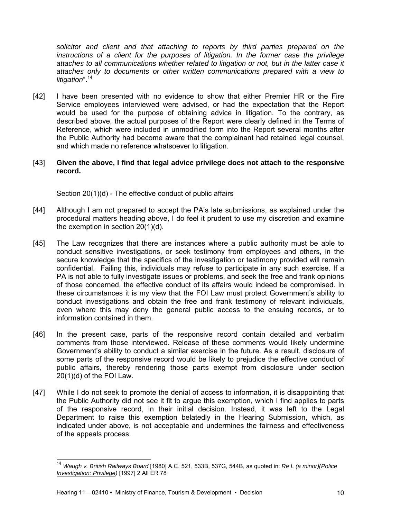*solicitor and client and that attaching to reports by third parties prepared on the instructions of a client for the purposes of litigation. In the former case the privilege attaches to all communications whether related to litigation or not, but in the latter case it attaches only to documents or other written communications prepared with a view to litigation*".14

[42] I have been presented with no evidence to show that either Premier HR or the Fire Service employees interviewed were advised, or had the expectation that the Report would be used for the purpose of obtaining advice in litigation. To the contrary, as described above, the actual purposes of the Report were clearly defined in the Terms of Reference, which were included in unmodified form into the Report several months after the Public Authority had become aware that the complainant had retained legal counsel, and which made no reference whatsoever to litigation.

## [43] **Given the above, I find that legal advice privilege does not attach to the responsive record.**

# Section 20(1)(d) - The effective conduct of public affairs

- [44] Although I am not prepared to accept the PA's late submissions, as explained under the procedural matters heading above, I do feel it prudent to use my discretion and examine the exemption in section 20(1)(d).
- [45] The Law recognizes that there are instances where a public authority must be able to conduct sensitive investigations, or seek testimony from employees and others, in the secure knowledge that the specifics of the investigation or testimony provided will remain confidential. Failing this, individuals may refuse to participate in any such exercise. If a PA is not able to fully investigate issues or problems, and seek the free and frank opinions of those concerned, the effective conduct of its affairs would indeed be compromised. In these circumstances it is my view that the FOI Law must protect Government's ability to conduct investigations and obtain the free and frank testimony of relevant individuals, even where this may deny the general public access to the ensuing records, or to information contained in them.
- [46] In the present case, parts of the responsive record contain detailed and verbatim comments from those interviewed. Release of these comments would likely undermine Government's ability to conduct a similar exercise in the future. As a result, disclosure of some parts of the responsive record would be likely to prejudice the effective conduct of public affairs, thereby rendering those parts exempt from disclosure under section 20(1)(d) of the FOI Law.
- [47] While I do not seek to promote the denial of access to information, it is disappointing that the Public Authority did not see it fit to argue this exemption, which I find applies to parts of the responsive record, in their initial decision. Instead, it was left to the Legal Department to raise this exemption belatedly in the Hearing Submission, which, as indicated under above, is not acceptable and undermines the fairness and effectiveness of the appeals process.

l

<sup>14</sup> *Waugh v. British Railways Board* [1980] A.C. 521, 533B, 537G, 544B, as quoted in: *Re L (a minor)(Police Investigation: Privilege)* [1997] 2 All ER 78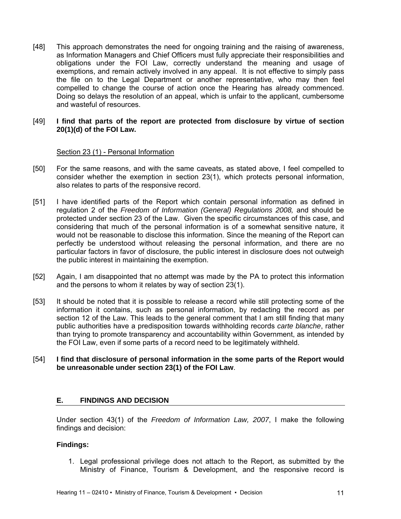[48] This approach demonstrates the need for ongoing training and the raising of awareness, as Information Managers and Chief Officers must fully appreciate their responsibilities and obligations under the FOI Law, correctly understand the meaning and usage of exemptions, and remain actively involved in any appeal. It is not effective to simply pass the file on to the Legal Department or another representative, who may then feel compelled to change the course of action once the Hearing has already commenced. Doing so delays the resolution of an appeal, which is unfair to the applicant, cumbersome and wasteful of resources.

## [49] **I find that parts of the report are protected from disclosure by virtue of section 20(1)(d) of the FOI Law.**

## Section 23 (1) - Personal Information

- [50] For the same reasons, and with the same caveats, as stated above, I feel compelled to consider whether the exemption in section 23(1), which protects personal information, also relates to parts of the responsive record.
- [51] I have identified parts of the Report which contain personal information as defined in regulation 2 of the *Freedom of Information (General) Regulations 2008,* and should be protected under section 23 of the Law. Given the specific circumstances of this case, and considering that much of the personal information is of a somewhat sensitive nature, it would not be reasonable to disclose this information. Since the meaning of the Report can perfectly be understood without releasing the personal information, and there are no particular factors in favor of disclosure, the public interest in disclosure does not outweigh the public interest in maintaining the exemption.
- [52] Again, I am disappointed that no attempt was made by the PA to protect this information and the persons to whom it relates by way of section 23(1).
- [53] It should be noted that it is possible to release a record while still protecting some of the information it contains, such as personal information, by redacting the record as per section 12 of the Law. This leads to the general comment that I am still finding that many public authorities have a predisposition towards withholding records *carte blanche*, rather than trying to promote transparency and accountability within Government, as intended by the FOI Law, even if some parts of a record need to be legitimately withheld.
- [54] **I find that disclosure of personal information in the some parts of the Report would be unreasonable under section 23(1) of the FOI Law**.

# **E. FINDINGS AND DECISION**

Under section 43(1) of the *Freedom of Information Law, 2007*, I make the following findings and decision:

#### **Findings:**

1. Legal professional privilege does not attach to the Report, as submitted by the Ministry of Finance, Tourism & Development, and the responsive record is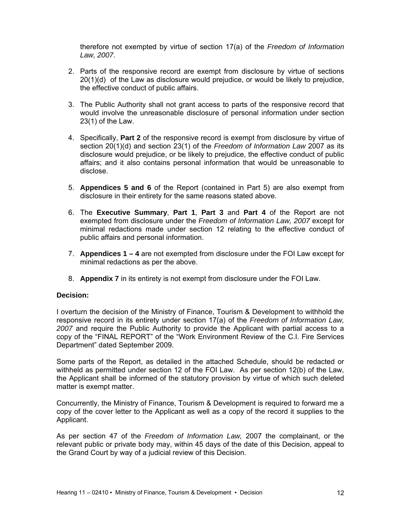therefore not exempted by virtue of section 17(a) of the *Freedom of Information Law, 2007*.

- 2. Parts of the responsive record are exempt from disclosure by virtue of sections 20(1)(d) of the Law as disclosure would prejudice, or would be likely to prejudice, the effective conduct of public affairs.
- 3. The Public Authority shall not grant access to parts of the responsive record that would involve the unreasonable disclosure of personal information under section 23(1) of the Law.
- 4. Specifically, **Part 2** of the responsive record is exempt from disclosure by virtue of section 20(1)(d) and section 23(1) of the *Freedom of Information Law* 2007 as its disclosure would prejudice, or be likely to prejudice, the effective conduct of public affairs; and it also contains personal information that would be unreasonable to disclose.
- 5. **Appendices 5 and 6** of the Report (contained in Part 5) are also exempt from disclosure in their entirety for the same reasons stated above.
- 6. The **Executive Summary**, **Part 1**, **Part 3** and **Part 4** of the Report are not exempted from disclosure under the *Freedom of Information Law, 2007* except for minimal redactions made under section 12 relating to the effective conduct of public affairs and personal information.
- 7. **Appendices 1 4** are not exempted from disclosure under the FOI Law except for minimal redactions as per the above.
- 8. **Appendix 7** in its entirety is not exempt from disclosure under the FOI Law.

#### **Decision:**

I overturn the decision of the Ministry of Finance, Tourism & Development to withhold the responsive record in its entirety under section 17(a) of the *Freedom of Information Law, 2007* and require the Public Authority to provide the Applicant with partial access to a copy of the "FINAL REPORT" of the "Work Environment Review of the C.I. Fire Services Department" dated September 2009.

Some parts of the Report, as detailed in the attached Schedule, should be redacted or withheld as permitted under section 12 of the FOI Law. As per section 12(b) of the Law, the Applicant shall be informed of the statutory provision by virtue of which such deleted matter is exempt matter.

Concurrently, the Ministry of Finance, Tourism & Development is required to forward me a copy of the cover letter to the Applicant as well as a copy of the record it supplies to the Applicant.

As per section 47 of the *Freedom of Information Law,* 2007 the complainant, or the relevant public or private body may, within 45 days of the date of this Decision, appeal to the Grand Court by way of a judicial review of this Decision.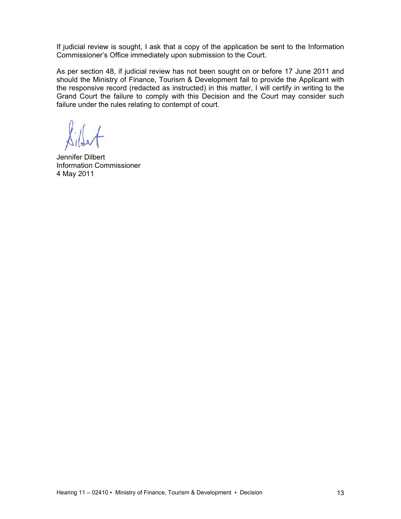If judicial review is sought, I ask that a copy of the application be sent to the Information Commissioner's Office immediately upon submission to the Court.

As per section 48, if judicial review has not been sought on or before 17 June 2011 and should the Ministry of Finance, Tourism & Development fail to provide the Applicant with the responsive record (redacted as instructed) in this matter, I will certify in writing to the Grand Court the failure to comply with this Decision and the Court may consider such failure under the rules relating to contempt of court.

Jennifer Dilbert Information Commissioner 4 May 2011